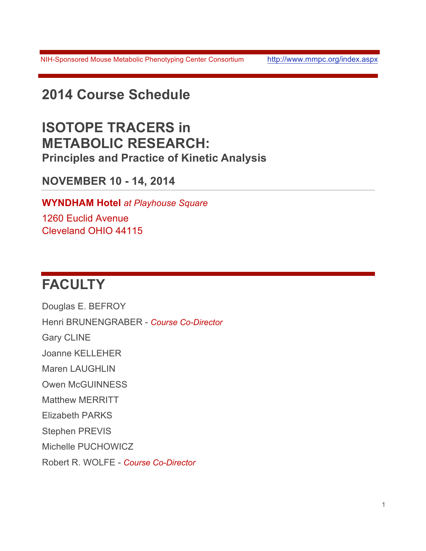NIH-Sponsored Mouse Metabolic Phenotyping Center Consortium http://www.mmpc.org/index.aspx

# **2014 Course Schedule**

### **ISOTOPE TRACERS in METABOLIC RESEARCH: Principles and Practice of Kinetic Analysis**

### **NOVEMBER 10 - 14, 2014**

**WYNDHAM Hotel** *at Playhouse Square*

1260 Euclid Avenue Cleveland OHIO 44115

# **FACULTY**

Douglas E. BEFROY Henri BRUNENGRABER - *Course Co-Director* Gary CLINE Joanne KELLEHER Maren LAUGHLIN Owen McGUINNESS Matthew MERRITT Elizabeth PARKS Stephen PREVIS Michelle PUCHOWICZ Robert R. WOLFE - *Course Co-Director*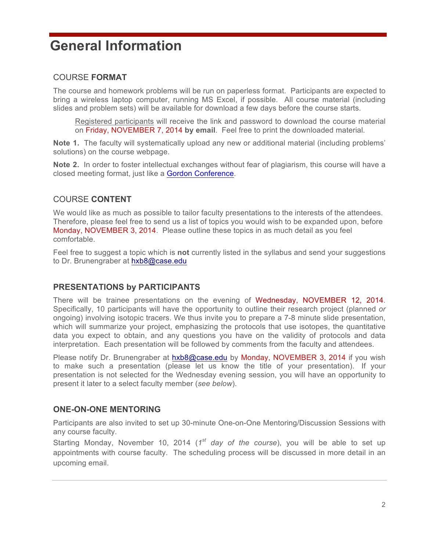# **General Information**

#### COURSE **FORMAT**

The course and homework problems will be run on paperless format. Participants are expected to bring a wireless laptop computer, running MS Excel, if possible. All course material (including slides and problem sets) will be available for download a few days before the course starts.

Registered participants will receive the link and password to download the course material on Friday, NOVEMBER 7, 2014 **by email**. Feel free to print the downloaded material.

**Note 1.** The faculty will systematically upload any new or additional material (including problems' solutions) on the course webpage.

**Note 2.** In order to foster intellectual exchanges without fear of plagiarism, this course will have a closed meeting format, just like a Gordon Conference.

#### COURSE **CONTENT**

We would like as much as possible to tailor faculty presentations to the interests of the attendees. Therefore, please feel free to send us a list of topics you would wish to be expanded upon, before Monday, NOVEMBER 3, 2014. Please outline these topics in as much detail as you feel comfortable.

Feel free to suggest a topic which is **not** currently listed in the syllabus and send your suggestions to Dr. Brunengraber at hxb8@case.edu

#### **PRESENTATIONS by PARTICIPANTS**

There will be trainee presentations on the evening of Wednesday, NOVEMBER 12, 2014. Specifically, 10 participants will have the opportunity to outline their research project (planned *or*  ongoing) involving isotopic tracers. We thus invite you to prepare a 7-8 minute slide presentation, which will summarize your project, emphasizing the protocols that use isotopes, the quantitative data you expect to obtain, and any questions you have on the validity of protocols and data interpretation. Each presentation will be followed by comments from the faculty and attendees.

Please notify Dr. Brunengraber at hxb8@case.edu by Monday, NOVEMBER 3, 2014 if you wish to make such a presentation (please let us know the title of your presentation). If your presentation is not selected for the Wednesday evening session, you will have an opportunity to present it later to a select faculty member (*see below*).

#### **ONE-ON-ONE MENTORING**

Participants are also invited to set up 30-minute One-on-One Mentoring/Discussion Sessions with any course faculty.

Starting Monday, November 10, 2014 (*1st day of the course*), you will be able to set up appointments with course faculty. The scheduling process will be discussed in more detail in an upcoming email.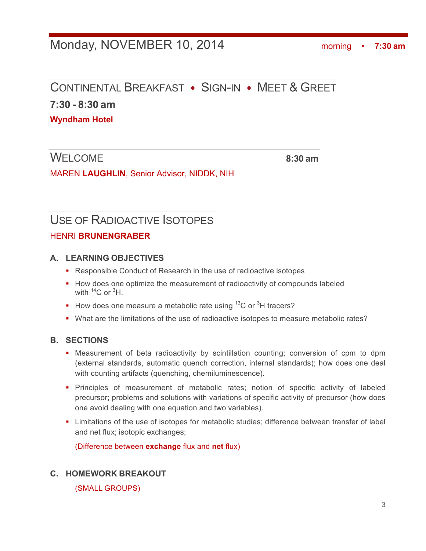### Monday, NOVEMBER 10, 2014morning • **7:30 am**

### CONTINENTAL BREAKFAST • SIGN-IN • MEET & GREET

**7:30 - 8:30 am**

**Wyndham Hotel**

WELCOME **8:30 am**

MAREN **LAUGHLIN**, Senior Advisor, NIDDK, NIH

# USE OF RADIOACTIVE ISOTOPES

#### HENRI **BRUNENGRABER**

#### **A. LEARNING OBJECTIVES**

- Responsible Conduct of Research in the use of radioactive isotopes
- How does one optimize the measurement of radioactivity of compounds labeled with  ${}^{14}$ C or  ${}^{3}$ H.
- How does one measure a metabolic rate using  ${}^{13}$ C or  ${}^{3}$ H tracers?
- What are the limitations of the use of radioactive isotopes to measure metabolic rates?

#### **B. SECTIONS**

- Measurement of beta radioactivity by scintillation counting; conversion of cpm to dpm (external standards, automatic quench correction, internal standards); how does one deal with counting artifacts (quenching, chemiluminescence).
- § Principles of measurement of metabolic rates; notion of specific activity of labeled precursor; problems and solutions with variations of specific activity of precursor (how does one avoid dealing with one equation and two variables).
- Limitations of the use of isotopes for metabolic studies; difference between transfer of label and net flux; isotopic exchanges;

(Difference between **exchange** flux and **net** flux)

#### **C. HOMEWORK BREAKOUT**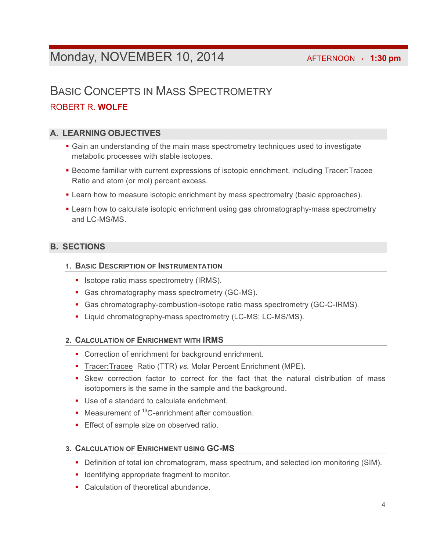### **Monday, NOVEMBER 10, 2014 AFTERNOON · 1:30 pm**

### BASIC CONCEPTS IN MASS SPECTROMETRY ROBERT R. **WOLFE**

#### **A. LEARNING OBJECTIVES**

- Gain an understanding of the main mass spectrometry techniques used to investigate metabolic processes with stable isotopes.
- § Become familiar with current expressions of isotopic enrichment, including Tracer:Tracee Ratio and atom (or mol) percent excess.
- Learn how to measure isotopic enrichment by mass spectrometry (basic approaches).
- Learn how to calculate isotopic enrichment using gas chromatography-mass spectrometry and LC-MS/MS

#### **B. SECTIONS**

#### **1. BASIC DESCRIPTION OF INSTRUMENTATION**

- Isotope ratio mass spectrometry (IRMS).
- Gas chromatography mass spectrometry (GC-MS).
- § Gas chromatography-combustion-isotope ratio mass spectrometry (GC-C-IRMS).
- Liquid chromatography-mass spectrometry (LC-MS; LC-MS/MS).

#### **2. CALCULATION OF ENRICHMENT WITH IRMS**

- Correction of enrichment for background enrichment.
- § Tracer**:**Tracee Ratio (TTR) *vs.* Molar Percent Enrichment (MPE).
- Skew correction factor to correct for the fact that the natural distribution of mass isotopomers is the same in the sample and the background.
- Use of a standard to calculate enrichment.
- Measurement of  $13C$ -enrichment after combustion.
- **Effect of sample size on observed ratio.**

#### **3. CALCULATION OF ENRICHMENT USING GC-MS**

- Definition of total ion chromatogram, mass spectrum, and selected ion monitoring (SIM).
- Identifying appropriate fragment to monitor.
- Calculation of theoretical abundance.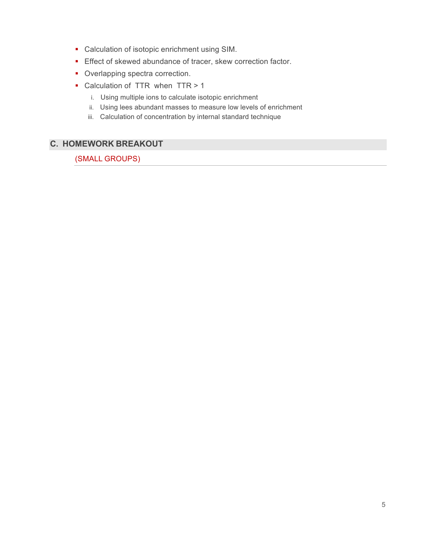- Calculation of isotopic enrichment using SIM.
- Effect of skewed abundance of tracer, skew correction factor.
- Overlapping spectra correction.
- Calculation of TTR when TTR > 1
	- i. Using multiple ions to calculate isotopic enrichment
	- ii. Using lees abundant masses to measure low levels of enrichment
	- iii. Calculation of concentration by internal standard technique

### **C. HOMEWORK BREAKOUT**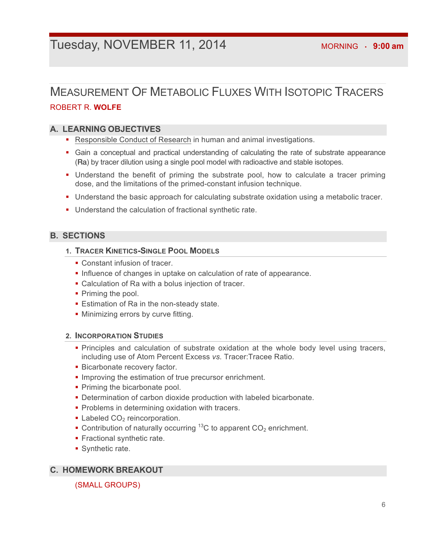### **TUESday, NOVEMBER 11, 2014 MORNING · 9:00 am**

### MEASUREMENT OF METABOLIC FLUXES WITH ISOTOPIC TRACERS ROBERT R. **WOLFE**

#### **A. LEARNING OBJECTIVES**

- Responsible Conduct of Research in human and animal investigations.
- Gain a conceptual and practical understanding of calculating the rate of substrate appearance (Ra) by tracer dilution using a single pool model with radioactive and stable isotopes.
- Understand the benefit of priming the substrate pool, how to calculate a tracer priming dose, and the limitations of the primed-constant infusion technique.
- § Understand the basic approach for calculating substrate oxidation using a metabolic tracer.
- Understand the calculation of fractional synthetic rate.

#### **B. SECTIONS**

#### **1. TRACER KINETICS-SINGLE POOL MODELS**

- Constant infusion of tracer.
- Influence of changes in uptake on calculation of rate of appearance.
- Calculation of Ra with a bolus injection of tracer.
- Priming the pool.
- Estimation of Ra in the non-steady state.
- Minimizing errors by curve fitting.

#### **2. INCORPORATION STUDIES**

- § Principles and calculation of substrate oxidation at the whole body level using tracers, including use of Atom Percent Excess *vs.* Tracer:Tracee Ratio.
- **Bicarbonate recovery factor.**
- Improving the estimation of true precursor enrichment.
- Priming the bicarbonate pool.
- Determination of carbon dioxide production with labeled bicarbonate.
- Problems in determining oxidation with tracers.
- Labeled  $CO<sub>2</sub>$  reincorporation.
- Contribution of naturally occurring <sup>13</sup>C to apparent  $CO<sub>2</sub>$  enrichment.
- § Fractional synthetic rate.
- § Synthetic rate.

#### **C. HOMEWORK BREAKOUT**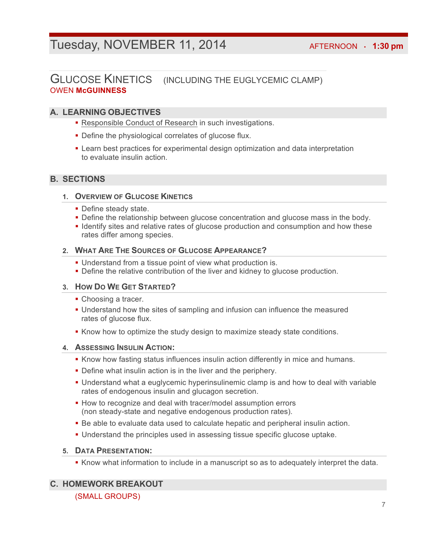### Tuesday, NOVEMBER 11, 2014 **AFTERNOON** · 1:30 pm

### GLUCOSE KINETICS (INCLUDING THE EUGLYCEMIC CLAMP) OWEN **McGUINNESS**

#### **A. LEARNING OBJECTIVES**

- Responsible Conduct of Research in such investigations.
- Define the physiological correlates of glucose flux.
- **Learn best practices for experimental design optimization and data interpretation** to evaluate insulin action.

#### **B. SECTIONS**

#### **1. OVERVIEW OF GLUCOSE KINETICS**

- Define steady state.
- Define the relationship between glucose concentration and glucose mass in the body.
- Identify sites and relative rates of glucose production and consumption and how these rates differ among species.

#### **2. WHAT ARE THE SOURCES OF GLUCOSE APPEARANCE?**

- Understand from a tissue point of view what production is.
- **Define the relative contribution of the liver and kidney to glucose production.**

#### **3. HOW DO WE GET STARTED?**

- Choosing a tracer.
- § Understand how the sites of sampling and infusion can influence the measured rates of glucose flux.
- **Know how to optimize the study design to maximize steady state conditions.**

#### **4. ASSESSING INSULIN ACTION:**

- **Know how fasting status influences insulin action differently in mice and humans.**
- Define what insulin action is in the liver and the periphery.
- Understand what a euglycemic hyperinsulinemic clamp is and how to deal with variable rates of endogenous insulin and glucagon secretion.
- How to recognize and deal with tracer/model assumption errors (non steady-state and negative endogenous production rates).
- **•** Be able to evaluate data used to calculate hepatic and peripheral insulin action.
- § Understand the principles used in assessing tissue specific glucose uptake.

#### **5. DATA PRESENTATION:**

**•** Know what information to include in a manuscript so as to adequately interpret the data.

#### **C. HOMEWORK BREAKOUT**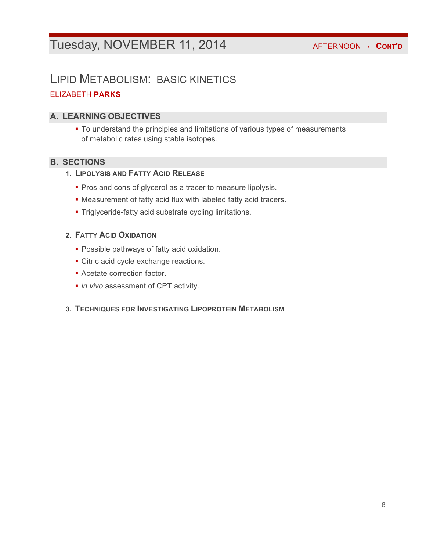### Tuesday, NOVEMBER 11, 2014 **AFTERNOON · CONT'D**

### LIPID METABOLISM: BASIC KINETICS

#### ELIZABETH **PARKS**

#### **A. LEARNING OBJECTIVES**

§ To understand the principles and limitations of various types of measurements of metabolic rates using stable isotopes.

#### **B. SECTIONS**

- **1. LIPOLYSIS AND FATTY ACID RELEASE**
	- Pros and cons of glycerol as a tracer to measure lipolysis.
	- § Measurement of fatty acid flux with labeled fatty acid tracers.
	- § Triglyceride-fatty acid substrate cycling limitations.

#### **2. FATTY ACID OXIDATION**

- § Possible pathways of fatty acid oxidation.
- Citric acid cycle exchange reactions.
- § Acetate correction factor.
- *in vivo* assessment of CPT activity.

#### **3. TECHNIQUES FOR INVESTIGATING LIPOPROTEIN METABOLISM**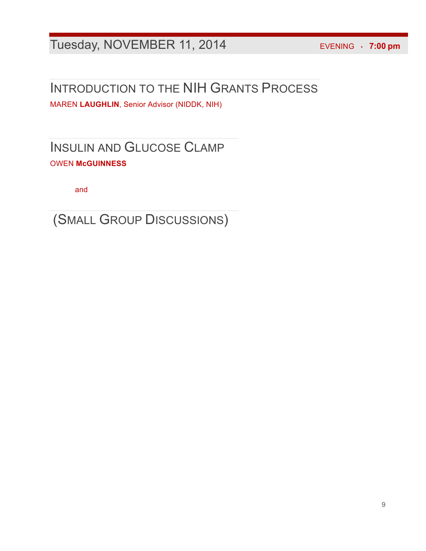# Tuesday, NOVEMBER 11, 2014EVENING • **7:00 pm**

# INTRODUCTION TO THE NIH GRANTS PROCESS

MAREN **LAUGHLIN**, Senior Advisor (NIDDK, NIH)

INSULIN AND GLUCOSE CLAMP OWEN **McGUINNESS**

and

(SMALL GROUP DISCUSSIONS)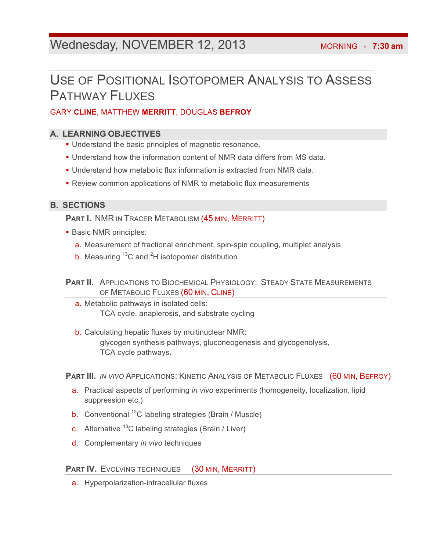### Wednesday, NOVEMBER 12, 2013 MORNING · 7:30 am

# USE OF POSITIONAL ISOTOPOMER ANALYSIS TO ASSESS PATHWAY FLUXES

#### GARY **CLINE**, MATTHEW **MERRITT**, DOUGLAS **BEFROY**

#### **A. LEARNING OBJECTIVES**

- Understand the basic principles of magnetic resonance.
- § Understand how the information content of NMR data differs from MS data.
- § Understand how metabolic flux information is extracted from NMR data.
- Review common applications of NMR to metabolic flux measurements

#### **B. SECTIONS**

**PART I. NMR IN TRACER METABOLISM (45 MIN, MERRITT)** 

- Basic NMR principles:
	- a. Measurement of fractional enrichment, spin-spin coupling, multiplet analysis
	- b. Measuring  $^{13}$ C and <sup>2</sup>H isotopomer distribution

**PART II.** APPLICATIONS TO BIOCHEMICAL PHYSIOLOGY: STEADY STATE MEASUREMENTS OF METABOLIC FLUXES (60 MIN, CLINE)

- a. Metabolic pathways in isolated cells: TCA cycle, anaplerosis, and substrate cycling
- b. Calculating hepatic fluxes by multinuclear NMR: glycogen synthesis pathways, gluconeogenesis and glycogenolysis, TCA cycle pathways.

**PART III.** *IN VIVO* APPLICATIONS: KINETIC ANALYSIS OF METABOLIC FLUXES (60 MIN, BEFROY)

- a. Practical aspects of performing *in vivo* experiments (homogeneity, localization, lipid suppression etc.)
- b. Conventional  $^{13}$ C labeling strategies (Brain / Muscle)
- c. Alternative  $^{13}$ C labeling strategies (Brain / Liver)
- d. Complementary *in vivo* techniques

#### **PART IV.** EVOLVING TECHNIQUES (30 MIN, MERRITT)

a. Hyperpolarization-intracellular fluxes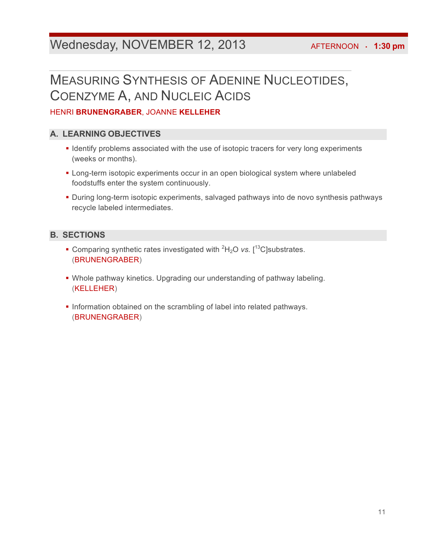### Wednesday, NOVEMBER 12, 2013 **AFTERNOON** · 1:30 pm

# MEASURING SYNTHESIS OF ADENINE NUCLEOTIDES, COENZYME A, AND NUCLEIC ACIDS

#### HENRI **BRUNENGRABER**, JOANNE **KELLEHER**

#### **A. LEARNING OBJECTIVES**

- § Identify problems associated with the use of isotopic tracers for very long experiments (weeks or months).
- § Long-term isotopic experiments occur in an open biological system where unlabeled foodstuffs enter the system continuously.
- § During long-term isotopic experiments, salvaged pathways into de novo synthesis pathways recycle labeled intermediates.

#### **B. SECTIONS**

- Comparing synthetic rates investigated with <sup>2</sup>H<sub>2</sub>O *vs.* [<sup>13</sup>C]substrates. (BRUNENGRABER)
- Whole pathway kinetics. Upgrading our understanding of pathway labeling. (KELLEHER)
- § Information obtained on the scrambling of label into related pathways. (BRUNENGRABER)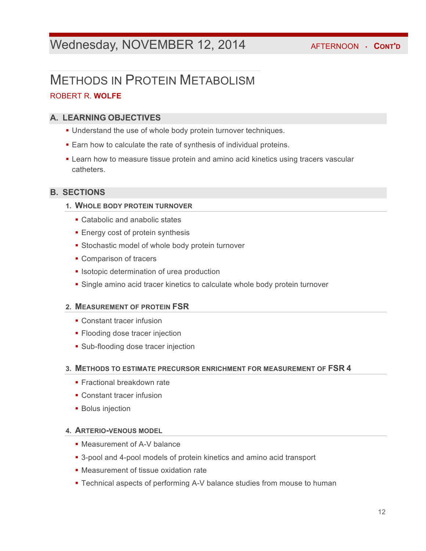### Wednesday, NOVEMBER 12, 2014 **AFTERNOON · CONT'D**

### METHODS IN PROTEIN METABOLISM ROBERT R. **WOLFE**

#### **A. LEARNING OBJECTIVES**

- Understand the use of whole body protein turnover techniques.
- Earn how to calculate the rate of synthesis of individual proteins.
- **Learn how to measure tissue protein and amino acid kinetics using tracers vascular** catheters.

#### **B. SECTIONS**

#### **1. WHOLE BODY PROTEIN TURNOVER**

- Catabolic and anabolic states
- Energy cost of protein synthesis
- Stochastic model of whole body protein turnover
- Comparison of tracers
- **Isotopic determination of urea production**
- Single amino acid tracer kinetics to calculate whole body protein turnover

#### **2. MEASUREMENT OF PROTEIN FSR**

- Constant tracer infusion
- Flooding dose tracer injection
- Sub-flooding dose tracer injection

#### **3. METHODS TO ESTIMATE PRECURSOR ENRICHMENT FOR MEASUREMENT OF FSR 4**

- Fractional breakdown rate
- Constant tracer infusion
- **Bolus injection**

#### **4. ARTERIO-VENOUS MODEL**

- Measurement of A-V balance
- 3-pool and 4-pool models of protein kinetics and amino acid transport
- Measurement of tissue oxidation rate
- Technical aspects of performing A-V balance studies from mouse to human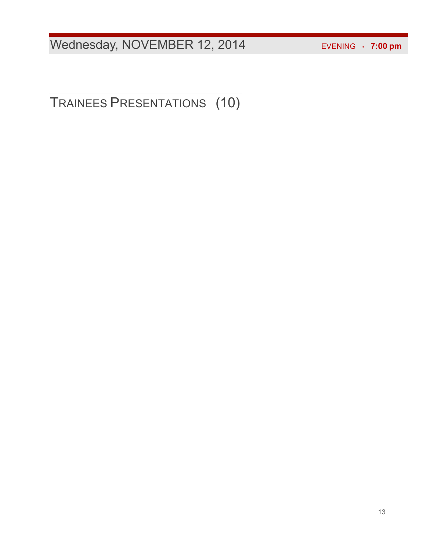Wednesday, NOVEMBER 12, 2014 EVENING · 7:00 pm

TRAINEES PRESENTATIONS (10)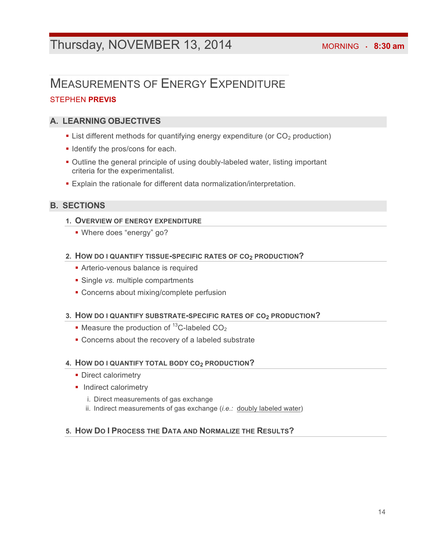### Thursday, NOVEMBER 13, 2014 MORNING · 8:30 am

# MEASUREMENTS OF ENERGY EXPENDITURE

#### STEPHEN **PREVIS**

#### **A. LEARNING OBJECTIVES**

- List different methods for quantifying energy expenditure (or CO<sub>2</sub> production)
- § Identify the pros/cons for each.
- Outline the general principle of using doubly-labeled water, listing important criteria for the experimentalist.
- Explain the rationale for different data normalization/interpretation.

#### **B. SECTIONS**

#### **1. OVERVIEW OF ENERGY EXPENDITURE**

§ Where does "energy" go?

#### **2. HOW DO I QUANTIFY TISSUE-SPECIFIC RATES OF CO2 PRODUCTION?**

- **Arterio-venous balance is required**
- § Single *vs.* multiple compartments
- § Concerns about mixing/complete perfusion

#### **3. HOW DO I QUANTIFY SUBSTRATE-SPECIFIC RATES OF CO2 PRODUCTION?**

- Measure the production of  $^{13}$ C-labeled CO<sub>2</sub>
- Concerns about the recovery of a labeled substrate

#### **4. HOW DO I QUANTIFY TOTAL BODY CO2 PRODUCTION?**

- Direct calorimetry
- Indirect calorimetry
	- i. Direct measurements of gas exchange
	- ii. Indirect measurements of gas exchange (*i.e.:* doubly labeled water)

#### **5. HOW DO I PROCESS THE DATA AND NORMALIZE THE RESULTS?**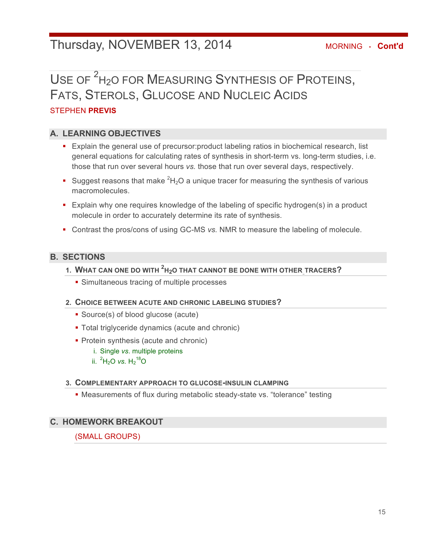### Thursday, NOVEMBER 13, 2014 **MORNING · Cont'd**

# USE OF <sup>2</sup>H<sub>2</sub>O FOR MEASURING SYNTHESIS OF PROTEINS, FATS, STEROLS, GLUCOSE AND NUCLEIC ACIDS

#### STEPHEN **PREVIS**

#### **A. LEARNING OBJECTIVES**

- Explain the general use of precursor: product labeling ratios in biochemical research, list general equations for calculating rates of synthesis in short-term vs. long-term studies, i.e. those that run over several hours *vs.* those that run over several days, respectively.
- Suggest reasons that make  ${}^{2}H_{2}O$  a unique tracer for measuring the synthesis of various macromolecules.
- Explain why one requires knowledge of the labeling of specific hydrogen(s) in a product molecule in order to accurately determine its rate of synthesis.
- Contrast the pros/cons of using GC-MS *vs.* NMR to measure the labeling of molecule.

#### **B. SECTIONS**

- **1. WHAT CAN ONE DO WITH <sup>2</sup> H2O THAT CANNOT BE DONE WITH OTHER TRACERS?**
	- Simultaneous tracing of multiple processes

#### **2. CHOICE BETWEEN ACUTE AND CHRONIC LABELING STUDIES?**

- Source(s) of blood glucose (acute)
- Total triglyceride dynamics (acute and chronic)
- Protein synthesis (acute and chronic)
	- i. Single *vs*. multiple proteins
	- ii.  ${}^{2}H_{2}O$  *vs.*  $H_{2}{}^{18}O$

#### **3. COMPLEMENTARY APPROACH TO GLUCOSE-INSULIN CLAMPING**

§ Measurements of flux during metabolic steady-state vs. "tolerance" testing

#### **C. HOMEWORK BREAKOUT**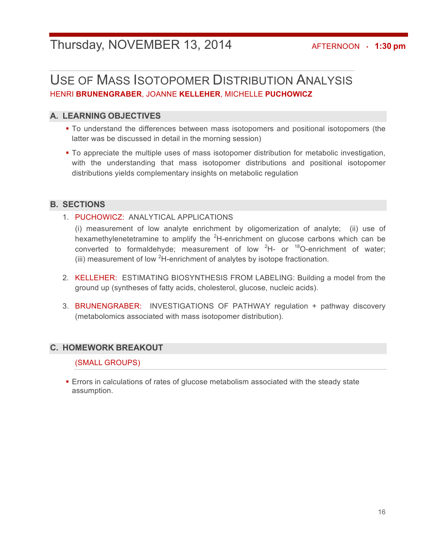### Thursday, NOVEMBER 13, 2014 **AFTERNOON** · 1:30 pm

### USE OF MASS ISOTOPOMER DISTRIBUTION ANALYSIS HENRI **BRUNENGRABER**, JOANNE **KELLEHER**, MICHELLE **PUCHOWICZ**

#### **A. LEARNING OBJECTIVES**

- To understand the differences between mass isotopomers and positional isotopomers (the latter was be discussed in detail in the morning session)
- To appreciate the multiple uses of mass isotopomer distribution for metabolic investigation, with the understanding that mass isotopomer distributions and positional isotopomer distributions yields complementary insights on metabolic regulation

#### **B. SECTIONS**

#### 1. PUCHOWICZ: ANALYTICAL APPLICATIONS

(i) measurement of low analyte enrichment by oligomerization of analyte; (ii) use of hexamethylenetetramine to amplify the  ${}^{2}$ H-enrichment on glucose carbons which can be converted to formaldehyde; measurement of low  ${}^{2}H-$  or  ${}^{18}O$ -enrichment of water; (iii) measurement of low  ${}^{2}$ H-enrichment of analytes by isotope fractionation.

- 2. KELLEHER: ESTIMATING BIOSYNTHESIS FROM LABELING: Building a model from the ground up (syntheses of fatty acids, cholesterol, glucose, nucleic acids).
- 3. BRUNENGRABER: INVESTIGATIONS OF PATHWAY regulation + pathway discovery (metabolomics associated with mass isotopomer distribution).

#### **C. HOMEWORK BREAKOUT**

#### (SMALL GROUPS)

**Errors in calculations of rates of glucose metabolism associated with the steady state** assumption.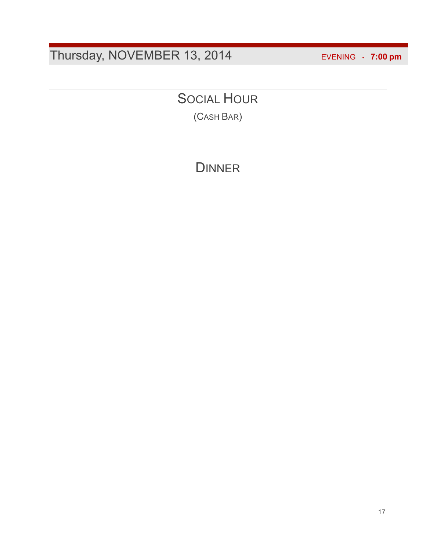# Thursday, NOVEMBER 13, 2014 EVENING • **7:00 pm**

## SOCIAL HOUR

(CASH BAR)

### **DINNER**